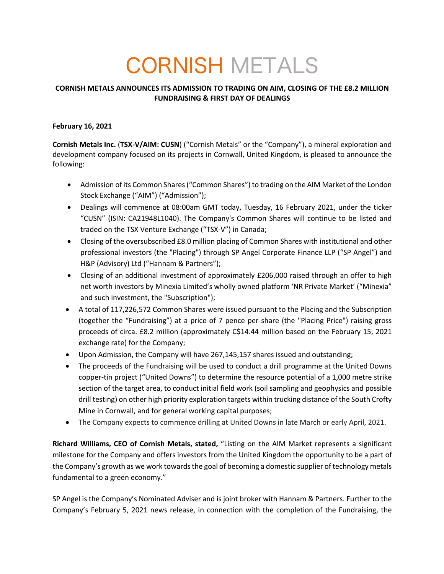# CORNISH METALS

# **CORNISH METALS ANNOUNCES ITS ADMISSION TO TRADING ON AIM, CLOSING OF THE £8.2 MILLION FUNDRAISING & FIRST DAY OF DEALINGS**

# **February 16, 2021**

**Cornish Metals Inc.** (**TSX-V/AIM: CUSN**) ("Cornish Metals" or the "Company"), a mineral exploration and development company focused on its projects in Cornwall, United Kingdom, is pleased to announce the following:

- Admission of its Common Shares ("Common Shares") to trading on the AIM Market of the London Stock Exchange ("AIM") ("Admission");
- Dealings will commence at 08:00am GMT today, Tuesday, 16 February 2021, under the ticker "CUSN" (ISIN: CA21948L1040). The Company's Common Shares will continue to be listed and traded on the TSX Venture Exchange ("TSX-V") in Canada;
- Closing of the oversubscribed £8.0 million placing of Common Shares with institutional and other professional investors (the "Placing") through SP Angel Corporate Finance LLP ("SP Angel") and H&P (Advisory) Ltd ("Hannam & Partners");
- Closing of an additional investment of approximately £206,000 raised through an offer to high net worth investors by Minexia Limited's wholly owned platform 'NR Private Market' ("Minexia" and such investment, the "Subscription");
- A total of 117,226,572 Common Shares were issued pursuant to the Placing and the Subscription (together the "Fundraising") at a price of 7 pence per share (the "Placing Price") raising gross proceeds of circa. £8.2 million (approximately C\$14.44 million based on the February 15, 2021 exchange rate) for the Company;
- Upon Admission, the Company will have 267,145,157 shares issued and outstanding;
- The proceeds of the Fundraising will be used to conduct a drill programme at the United Downs copper-tin project ("United Downs") to determine the resource potential of a 1,000 metre strike section of the target area, to conduct initial field work (soil sampling and geophysics and possible drill testing) on other high priority exploration targets within trucking distance of the South Crofty Mine in Cornwall, and for general working capital purposes;
- The Company expects to commence drilling at United Downs in late March or early April, 2021.

**Richard Williams, CEO of Cornish Metals, stated,** "Listing on the AIM Market represents a significant milestone for the Company and offers investors from the United Kingdom the opportunity to be a part of the Company's growth as we work towards the goal of becoming a domestic supplier of technology metals fundamental to a green economy."

SP Angel is the Company's Nominated Adviser and is joint broker with Hannam & Partners. Further to the Company's February 5, 2021 news release, in connection with the completion of the Fundraising, the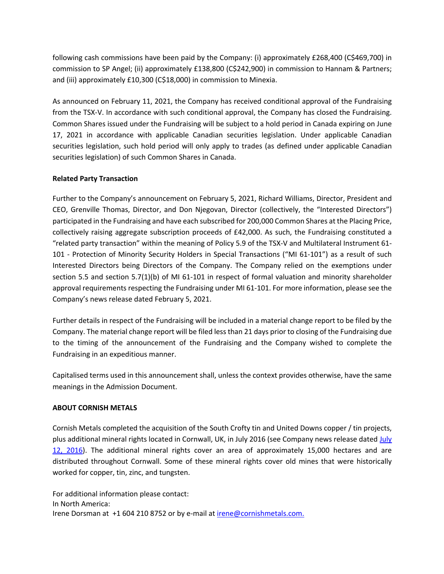following cash commissions have been paid by the Company: (i) approximately £268,400 (C\$469,700) in commission to SP Angel; (ii) approximately £138,800 (C\$242,900) in commission to Hannam & Partners; and (iii) approximately £10,300 (C\$18,000) in commission to Minexia.

As announced on February 11, 2021, the Company has received conditional approval of the Fundraising from the TSX-V. In accordance with such conditional approval, the Company has closed the Fundraising. Common Shares issued under the Fundraising will be subject to a hold period in Canada expiring on June 17, 2021 in accordance with applicable Canadian securities legislation. Under applicable Canadian securities legislation, such hold period will only apply to trades (as defined under applicable Canadian securities legislation) of such Common Shares in Canada.

# **Related Party Transaction**

Further to the Company's announcement on February 5, 2021, Richard Williams, Director, President and CEO, Grenville Thomas, Director, and Don Njegovan, Director (collectively, the "Interested Directors") participated in the Fundraising and have each subscribed for 200,000 Common Shares at the Placing Price, collectively raising aggregate subscription proceeds of £42,000. As such, the Fundraising constituted a "related party transaction" within the meaning of Policy 5.9 of the TSX-V and Multilateral Instrument 61- 101 - Protection of Minority Security Holders in Special Transactions ("MI 61-101") as a result of such Interested Directors being Directors of the Company. The Company relied on the exemptions under section 5.5 and section 5.7(1)(b) of MI 61-101 in respect of formal valuation and minority shareholder approval requirements respecting the Fundraising under MI 61-101. For more information, please see the Company's news release dated February 5, 2021.

Further details in respect of the Fundraising will be included in a material change report to be filed by the Company. The material change report will be filed less than 21 days prior to closing of the Fundraising due to the timing of the announcement of the Fundraising and the Company wished to complete the Fundraising in an expeditious manner.

Capitalised terms used in this announcement shall, unless the context provides otherwise, have the same meanings in the Admission Document.

#### **ABOUT CORNISH METALS**

Cornish Metals completed the acquisition of the South Crofty tin and United Downs copper / tin projects, plus additional mineral rights located in Cornwall, UK, in July 2016 (see Company news release dated July 12, 2016). The additional mineral rights cover an area of approximately 15,000 hectares and are distributed throughout Cornwall. Some of these mineral rights cover old mines that were historically worked for copper, tin, zinc, and tungsten.

For additional information please contact: In North America: Irene Dorsman at +1 604 210 8752 or by e-mail at irene@cornishmetals.com.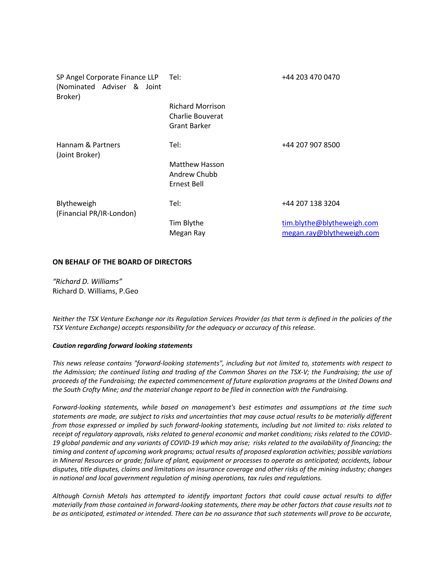| SP Angel Corporate Finance LLP<br>(Nominated Adviser & Joint<br>Broker) | Tel:                                                               | +44 203 470 0470                                        |
|-------------------------------------------------------------------------|--------------------------------------------------------------------|---------------------------------------------------------|
|                                                                         | <b>Richard Morrison</b><br>Charlie Bouverat<br><b>Grant Barker</b> |                                                         |
| Hannam & Partners<br>(Joint Broker)                                     | Tel:                                                               | +44 207 907 8500                                        |
|                                                                         | <b>Matthew Hasson</b><br>Andrew Chubb<br>Ernest Bell               |                                                         |
| Blytheweigh<br>(Financial PR/IR-London)                                 | Tel:                                                               | +44 207 138 3204                                        |
|                                                                         | Tim Blythe<br>Megan Ray                                            | tim.blythe@blytheweigh.com<br>megan.ray@blytheweigh.com |

#### **ON BEHALF OF THE BOARD OF DIRECTORS**

*"Richard D. Williams"* Richard D. Williams, P.Geo

*Neither the TSX Venture Exchange nor its Regulation Services Provider (as that term is defined in the policies of the TSX Venture Exchange) accepts responsibility for the adequacy or accuracy of this release.*

#### *Caution regarding forward looking statements*

*This news release contains "forward-looking statements", including but not limited to, statements with respect to the Admission; the continued listing and trading of the Common Shares on the TSX-V; the Fundraising; the use of proceeds of the Fundraising; the expected commencement of future exploration programs at the United Downs and the South Crofty Mine; and the material change report to be filed in connection with the Fundraising.*

*Forward-looking statements, while based on management's best estimates and assumptions at the time such statements are made, are subject to risks and uncertainties that may cause actual results to be materially different from those expressed or implied by such forward-looking statements, including but not limited to: risks related to receipt of regulatory approvals, risks related to general economic and market conditions; risks related to the COVID-19 global pandemic and any variants of COVID-19 which may arise; risks related to the availability of financing; the timing and content of upcoming work programs; actual results of proposed exploration activities; possible variations in Mineral Resources or grade; failure of plant, equipment or processes to operate as anticipated; accidents, labour disputes, title disputes, claims and limitations on insurance coverage and other risks of the mining industry; changes in national and local government regulation of mining operations, tax rules and regulations.* 

*Although Cornish Metals has attempted to identify important factors that could cause actual results to differ materially from those contained in forward-looking statements, there may be other factors that cause results not to be as anticipated, estimated or intended. There can be no assurance that such statements will prove to be accurate,*